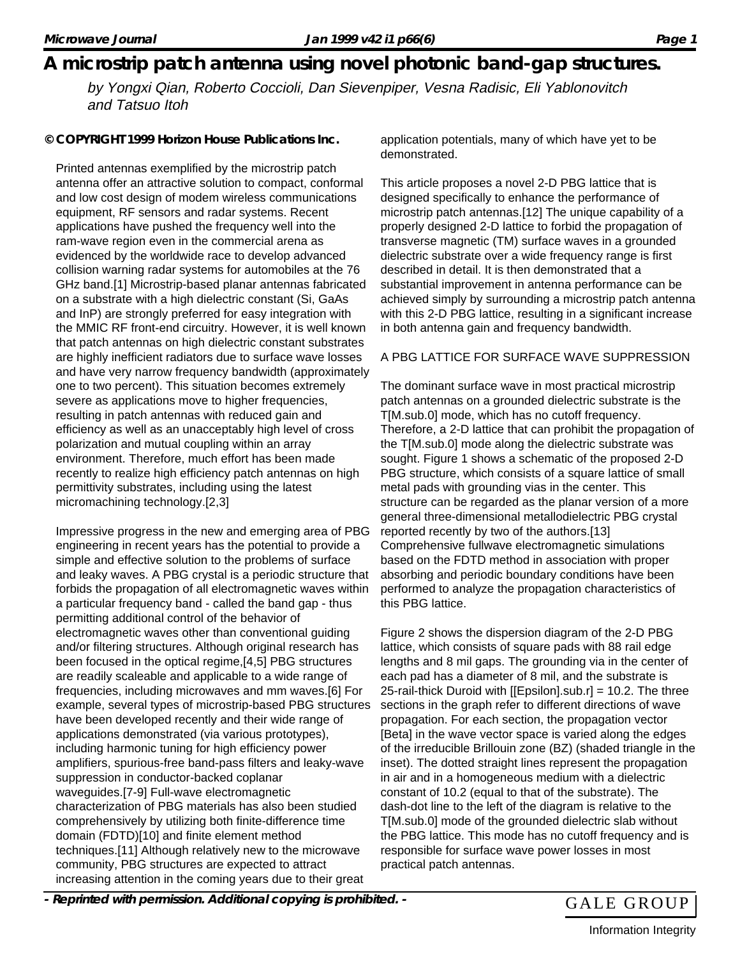## **A microstrip patch antenna using novel photonic band-gap structures.**

by Yongxi Qian, Roberto Coccioli, Dan Sievenpiper, Vesna Radisic, Eli Yablonovitch and Tatsuo Itoh

**© COPYRIGHT 1999 Horizon House Publications Inc.**

Printed antennas exemplified by the microstrip patch antenna offer an attractive solution to compact, conformal and low cost design of modem wireless communications equipment, RF sensors and radar systems. Recent applications have pushed the frequency well into the ram-wave region even in the commercial arena as evidenced by the worldwide race to develop advanced collision warning radar systems for automobiles at the 76 GHz band.[1] Microstrip-based planar antennas fabricated on a substrate with a high dielectric constant (Si, GaAs and InP) are strongly preferred for easy integration with the MMIC RF front-end circuitry. However, it is well known that patch antennas on high dielectric constant substrates are highly inefficient radiators due to surface wave losses and have very narrow frequency bandwidth (approximately one to two percent). This situation becomes extremely severe as applications move to higher frequencies, resulting in patch antennas with reduced gain and efficiency as well as an unacceptably high level of cross polarization and mutual coupling within an array environment. Therefore, much effort has been made recently to realize high efficiency patch antennas on high permittivity substrates, including using the latest micromachining technology.[2,3]

Impressive progress in the new and emerging area of PBG engineering in recent years has the potential to provide a simple and effective solution to the problems of surface and leaky waves. A PBG crystal is a periodic structure that forbids the propagation of all electromagnetic waves within a particular frequency band - called the band gap - thus permitting additional control of the behavior of electromagnetic waves other than conventional guiding and/or filtering structures. Although original research has been focused in the optical regime,[4,5] PBG structures are readily scaleable and applicable to a wide range of frequencies, including microwaves and mm waves.[6] For example, several types of microstrip-based PBG structures have been developed recently and their wide range of applications demonstrated (via various prototypes), including harmonic tuning for high efficiency power amplifiers, spurious-free band-pass filters and leaky-wave suppression in conductor-backed coplanar waveguides.[7-9] Full-wave electromagnetic characterization of PBG materials has also been studied comprehensively by utilizing both finite-difference time domain (FDTD)[10] and finite element method techniques.[11] Although relatively new to the microwave community, PBG structures are expected to attract increasing attention in the coming years due to their great

application potentials, many of which have yet to be demonstrated.

This article proposes a novel 2-D PBG lattice that is designed specifically to enhance the performance of microstrip patch antennas.[12] The unique capability of a properly designed 2-D lattice to forbid the propagation of transverse magnetic (TM) surface waves in a grounded dielectric substrate over a wide frequency range is first described in detail. It is then demonstrated that a substantial improvement in antenna performance can be achieved simply by surrounding a microstrip patch antenna with this 2-D PBG lattice, resulting in a significant increase in both antenna gain and frequency bandwidth.

#### A PBG LATTICE FOR SURFACE WAVE SUPPRESSION

The dominant surface wave in most practical microstrip patch antennas on a grounded dielectric substrate is the T[M.sub.0] mode, which has no cutoff frequency. Therefore, a 2-D lattice that can prohibit the propagation of the T[M.sub.0] mode along the dielectric substrate was sought. Figure 1 shows a schematic of the proposed 2-D PBG structure, which consists of a square lattice of small metal pads with grounding vias in the center. This structure can be regarded as the planar version of a more general three-dimensional metallodielectric PBG crystal reported recently by two of the authors.[13] Comprehensive fullwave electromagnetic simulations based on the FDTD method in association with proper absorbing and periodic boundary conditions have been performed to analyze the propagation characteristics of this PBG lattice.

Figure 2 shows the dispersion diagram of the 2-D PBG lattice, which consists of square pads with 88 rail edge lengths and 8 mil gaps. The grounding via in the center of each pad has a diameter of 8 mil, and the substrate is 25-rail-thick Duroid with [[Epsilon].sub.r] = 10.2. The three sections in the graph refer to different directions of wave propagation. For each section, the propagation vector [Beta] in the wave vector space is varied along the edges of the irreducible Brillouin zone (BZ) (shaded triangle in the inset). The dotted straight lines represent the propagation in air and in a homogeneous medium with a dielectric constant of 10.2 (equal to that of the substrate). The dash-dot line to the left of the diagram is relative to the T[M.sub.0] mode of the grounded dielectric slab without the PBG lattice. This mode has no cutoff frequency and is responsible for surface wave power losses in most practical patch antennas.

- Reprinted with permission. Additional copying is prohibited. - GALE GROUP



Information Integrity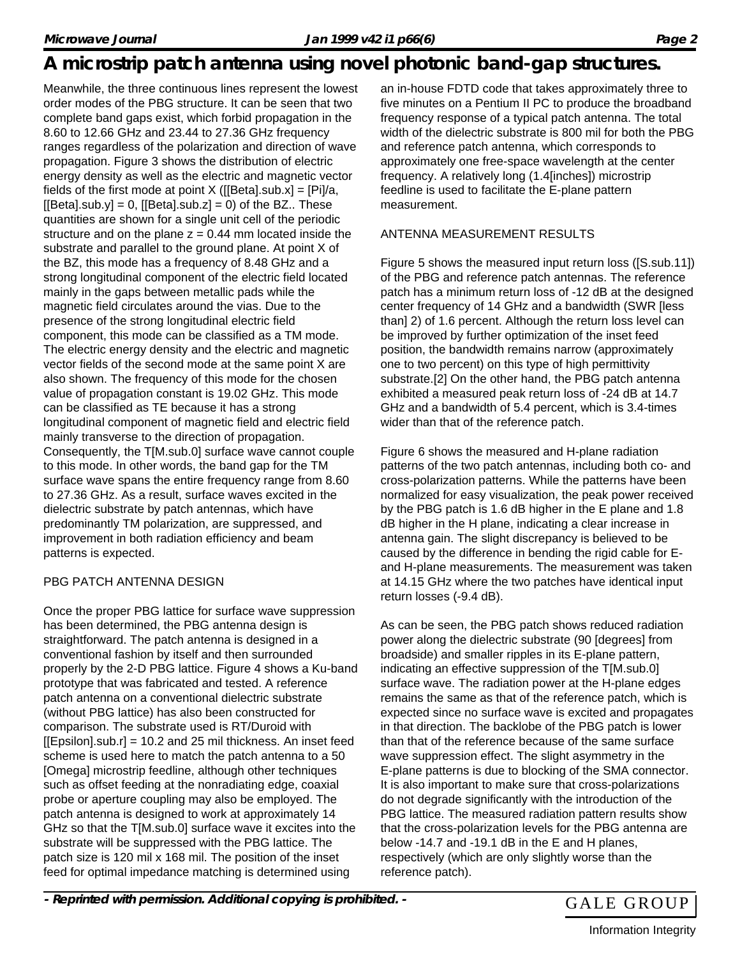# **A microstrip patch antenna using novel photonic band-gap structures.**

Meanwhile, the three continuous lines represent the lowest order modes of the PBG structure. It can be seen that two complete band gaps exist, which forbid propagation in the 8.60 to 12.66 GHz and 23.44 to 27.36 GHz frequency ranges regardless of the polarization and direction of wave propagation. Figure 3 shows the distribution of electric energy density as well as the electric and magnetic vector fields of the first mode at point  $X$  ([[Beta].sub.x] = [Pi]/a,  $[[Beta].sub.y] = 0$ ,  $[[Beta].sub.z] = 0$ ) of the BZ.. These quantities are shown for a single unit cell of the periodic structure and on the plane  $z = 0.44$  mm located inside the substrate and parallel to the ground plane. At point X of the BZ, this mode has a frequency of 8.48 GHz and a strong longitudinal component of the electric field located mainly in the gaps between metallic pads while the magnetic field circulates around the vias. Due to the presence of the strong longitudinal electric field component, this mode can be classified as a TM mode. The electric energy density and the electric and magnetic vector fields of the second mode at the same point X are also shown. The frequency of this mode for the chosen value of propagation constant is 19.02 GHz. This mode can be classified as TE because it has a strong longitudinal component of magnetic field and electric field mainly transverse to the direction of propagation. Consequently, the T[M.sub.0] surface wave cannot couple to this mode. In other words, the band gap for the TM surface wave spans the entire frequency range from 8.60 to 27.36 GHz. As a result, surface waves excited in the dielectric substrate by patch antennas, which have predominantly TM polarization, are suppressed, and improvement in both radiation efficiency and beam patterns is expected.

## PBG PATCH ANTENNA DESIGN

Once the proper PBG lattice for surface wave suppression has been determined, the PBG antenna design is straightforward. The patch antenna is designed in a conventional fashion by itself and then surrounded properly by the 2-D PBG lattice. Figure 4 shows a Ku-band prototype that was fabricated and tested. A reference patch antenna on a conventional dielectric substrate (without PBG lattice) has also been constructed for comparison. The substrate used is RT/Duroid with  $[Epsilon].sub.r] = 10.2$  and 25 mil thickness. An inset feed scheme is used here to match the patch antenna to a 50 [Omega] microstrip feedline, although other techniques such as offset feeding at the nonradiating edge, coaxial probe or aperture coupling may also be employed. The patch antenna is designed to work at approximately 14 GHz so that the T[M.sub.0] surface wave it excites into the substrate will be suppressed with the PBG lattice. The patch size is 120 mil x 168 mil. The position of the inset feed for optimal impedance matching is determined using

an in-house FDTD code that takes approximately three to five minutes on a Pentium II PC to produce the broadband frequency response of a typical patch antenna. The total width of the dielectric substrate is 800 mil for both the PBG and reference patch antenna, which corresponds to approximately one free-space wavelength at the center frequency. A relatively long (1.4[inches]) microstrip feedline is used to facilitate the E-plane pattern measurement.

### ANTENNA MEASUREMENT RESULTS

Figure 5 shows the measured input return loss ([S.sub.11]) of the PBG and reference patch antennas. The reference patch has a minimum return loss of -12 dB at the designed center frequency of 14 GHz and a bandwidth (SWR [less than] 2) of 1.6 percent. Although the return loss level can be improved by further optimization of the inset feed position, the bandwidth remains narrow (approximately one to two percent) on this type of high permittivity substrate.[2] On the other hand, the PBG patch antenna exhibited a measured peak return loss of -24 dB at 14.7 GHz and a bandwidth of 5.4 percent, which is 3.4-times wider than that of the reference patch.

Figure 6 shows the measured and H-plane radiation patterns of the two patch antennas, including both co- and cross-polarization patterns. While the patterns have been normalized for easy visualization, the peak power received by the PBG patch is 1.6 dB higher in the E plane and 1.8 dB higher in the H plane, indicating a clear increase in antenna gain. The slight discrepancy is believed to be caused by the difference in bending the rigid cable for Eand H-plane measurements. The measurement was taken at 14.15 GHz where the two patches have identical input return losses (-9.4 dB).

As can be seen, the PBG patch shows reduced radiation power along the dielectric substrate (90 [degrees] from broadside) and smaller ripples in its E-plane pattern, indicating an effective suppression of the T[M.sub.0] surface wave. The radiation power at the H-plane edges remains the same as that of the reference patch, which is expected since no surface wave is excited and propagates in that direction. The backlobe of the PBG patch is lower than that of the reference because of the same surface wave suppression effect. The slight asymmetry in the E-plane patterns is due to blocking of the SMA connector. It is also important to make sure that cross-polarizations do not degrade significantly with the introduction of the PBG lattice. The measured radiation pattern results show that the cross-polarization levels for the PBG antenna are below -14.7 and -19.1 dB in the E and H planes, respectively (which are only slightly worse than the reference patch).

- Reprinted with permission. Additional copying is prohibited. - GALE GROUP

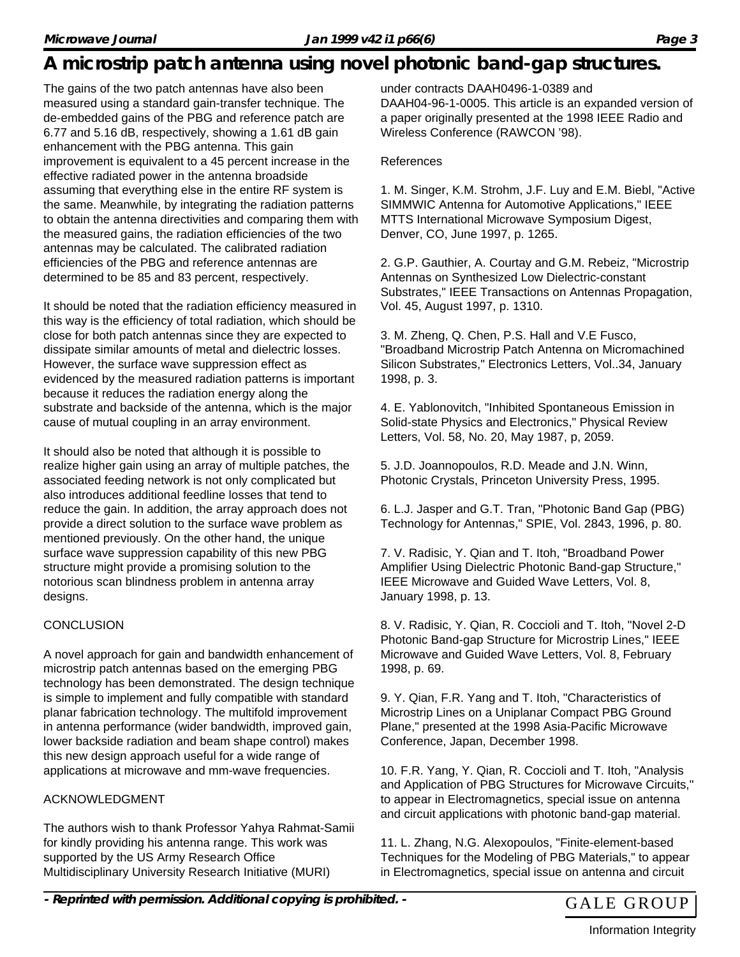## **A microstrip patch antenna using novel photonic band-gap structures.**

The gains of the two patch antennas have also been measured using a standard gain-transfer technique. The de-embedded gains of the PBG and reference patch are 6.77 and 5.16 dB, respectively, showing a 1.61 dB gain enhancement with the PBG antenna. This gain improvement is equivalent to a 45 percent increase in the effective radiated power in the antenna broadside assuming that everything else in the entire RF system is the same. Meanwhile, by integrating the radiation patterns to obtain the antenna directivities and comparing them with the measured gains, the radiation efficiencies of the two antennas may be calculated. The calibrated radiation efficiencies of the PBG and reference antennas are determined to be 85 and 83 percent, respectively.

It should be noted that the radiation efficiency measured in this way is the efficiency of total radiation, which should be close for both patch antennas since they are expected to dissipate similar amounts of metal and dielectric losses. However, the surface wave suppression effect as evidenced by the measured radiation patterns is important because it reduces the radiation energy along the substrate and backside of the antenna, which is the major cause of mutual coupling in an array environment.

It should also be noted that although it is possible to realize higher gain using an array of multiple patches, the associated feeding network is not only complicated but also introduces additional feedline losses that tend to reduce the gain. In addition, the array approach does not provide a direct solution to the surface wave problem as mentioned previously. On the other hand, the unique surface wave suppression capability of this new PBG structure might provide a promising solution to the notorious scan blindness problem in antenna array designs.

### **CONCLUSION**

A novel approach for gain and bandwidth enhancement of microstrip patch antennas based on the emerging PBG technology has been demonstrated. The design technique is simple to implement and fully compatible with standard planar fabrication technology. The multifold improvement in antenna performance (wider bandwidth, improved gain, lower backside radiation and beam shape control) makes this new design approach useful for a wide range of applications at microwave and mm-wave frequencies.

#### ACKNOWLEDGMENT

The authors wish to thank Professor Yahya Rahmat-Samii for kindly providing his antenna range. This work was supported by the US Army Research Office Multidisciplinary University Research Initiative (MURI)

under contracts DAAH0496-1-0389 and DAAH04-96-1-0005. This article is an expanded version of a paper originally presented at the 1998 IEEE Radio and Wireless Conference (RAWCON '98).

#### References

1. M. Singer, K.M. Strohm, J.F. Luy and E.M. Biebl, "Active SIMMWIC Antenna for Automotive Applications," IEEE MTTS International Microwave Symposium Digest, Denver, CO, June 1997, p. 1265.

2. G.P. Gauthier, A. Courtay and G.M. Rebeiz, "Microstrip Antennas on Synthesized Low Dielectric-constant Substrates," IEEE Transactions on Antennas Propagation, Vol. 45, August 1997, p. 1310.

3. M. Zheng, Q. Chen, P.S. Hall and V.E Fusco, "Broadband Microstrip Patch Antenna on Micromachined Silicon Substrates," Electronics Letters, Vol..34, January 1998, p. 3.

4. E. Yablonovitch, "Inhibited Spontaneous Emission in Solid-state Physics and Electronics," Physical Review Letters, Vol. 58, No. 20, May 1987, p, 2059.

5. J.D. Joannopoulos, R.D. Meade and J.N. Winn, Photonic Crystals, Princeton University Press, 1995.

6. L.J. Jasper and G.T. Tran, "Photonic Band Gap (PBG) Technology for Antennas," SPIE, Vol. 2843, 1996, p. 80.

7. V. Radisic, Y. Qian and T. Itoh, "Broadband Power Amplifier Using Dielectric Photonic Band-gap Structure," IEEE Microwave and Guided Wave Letters, Vol. 8, January 1998, p. 13.

8. V. Radisic, Y. Qian, R. Coccioli and T. Itoh, "Novel 2-D Photonic Band-gap Structure for Microstrip Lines," IEEE Microwave and Guided Wave Letters, Vol. 8, February 1998, p. 69.

9. Y. Qian, F.R. Yang and T. Itoh, "Characteristics of Microstrip Lines on a Uniplanar Compact PBG Ground Plane," presented at the 1998 Asia-Pacific Microwave Conference, Japan, December 1998.

10. F.R. Yang, Y. Qian, R. Coccioli and T. Itoh, "Analysis and Application of PBG Structures for Microwave Circuits," to appear in Electromagnetics, special issue on antenna and circuit applications with photonic band-gap material.

11. L. Zhang, N.G. Alexopoulos, "Finite-element-based Techniques for the Modeling of PBG Materials," to appear in Electromagnetics, special issue on antenna and circuit